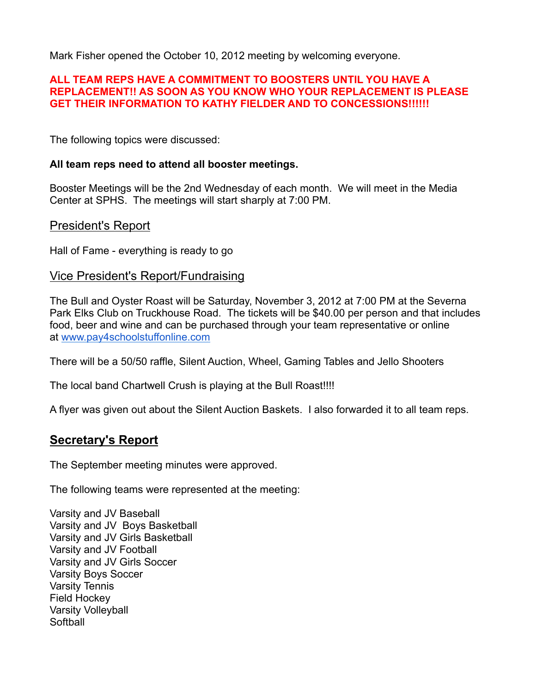Mark Fisher opened the October 10, 2012 meeting by welcoming everyone.

### **ALL TEAM REPS HAVE A COMMITMENT TO BOOSTERS UNTIL YOU HAVE A REPLACEMENT!! AS SOON AS YOU KNOW WHO YOUR REPLACEMENT IS PLEASE GET THEIR INFORMATION TO KATHY FIELDER AND TO CONCESSIONS!!!!!!**

The following topics were discussed:

## **All team reps need to attend all booster meetings.**

Booster Meetings will be the 2nd Wednesday of each month. We will meet in the Media Center at SPHS. The meetings will start sharply at 7:00 PM.

## President's Report

Hall of Fame - everything is ready to go

## Vice President's Report/Fundraising

The Bull and Oyster Roast will be Saturday, November 3, 2012 at 7:00 PM at the Severna Park Elks Club on Truckhouse Road. The tickets will be \$40.00 per person and that includes food, beer and wine and can be purchased through your team representative or online at www.pay4schoolstuffonline.com

There will be a 50/50 raffle, Silent Auction, Wheel, Gaming Tables and Jello Shooters

The local band Chartwell Crush is playing at the Bull Roast!!!!

A flyer was given out about the Silent Auction Baskets. I also forwarded it to all team reps.

# **Secretary's Report**

The September meeting minutes were approved.

The following teams were represented at the meeting:

Varsity and JV Baseball Varsity and JV Boys Basketball Varsity and JV Girls Basketball Varsity and JV Football Varsity and JV Girls Soccer Varsity Boys Soccer Varsity Tennis Field Hockey Varsity Volleyball **Softball**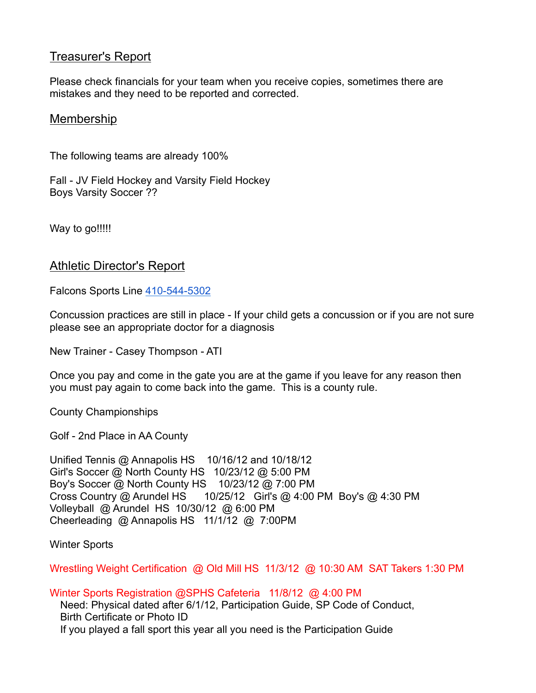## **Treasurer's Report**

Please check financials for your team when you receive copies, sometimes there are mistakes and they need to be reported and corrected.

## Membership

The following teams are already 100%

Fall - JV Field Hockey and Varsity Field Hockey Boys Varsity Soccer ??

Way to go!!!!!

## Athletic Director's Report

Falcons Sports Line 410-544-5302

Concussion practices are still in place - If your child gets a concussion or if you are not sure please see an appropriate doctor for a diagnosis

New Trainer - Casey Thompson - ATI

Once you pay and come in the gate you are at the game if you leave for any reason then you must pay again to come back into the game. This is a county rule.

County Championships

Golf - 2nd Place in AA County

Unified Tennis @ Annapolis HS 10/16/12 and 10/18/12 Girl's Soccer @ North County HS 10/23/12 @ 5:00 PM Boy's Soccer @ North County HS 10/23/12 @ 7:00 PM Cross Country @ Arundel HS 10/25/12 Girl's @ 4:00 PM Boy's @ 4:30 PM Volleyball @ Arundel HS 10/30/12 @ 6:00 PM Cheerleading @ Annapolis HS 11/1/12 @ 7:00PM

Winter Sports

Wrestling Weight Certification @ Old Mill HS 11/3/12 @ 10:30 AM SAT Takers 1:30 PM

Winter Sports Registration @SPHS Cafeteria 11/8/12 @ 4:00 PM

Need: Physical dated after 6/1/12, Participation Guide, SP Code of Conduct, Birth Certificate or Photo ID If you played a fall sport this year all you need is the Participation Guide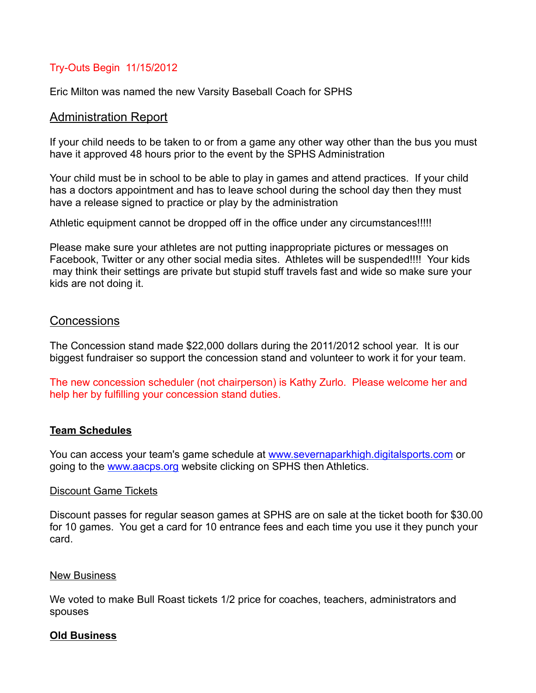## Try-Outs Begin 11/15/2012

Eric Milton was named the new Varsity Baseball Coach for SPHS

#### Administration Report

If your child needs to be taken to or from a game any other way other than the bus you must have it approved 48 hours prior to the event by the SPHS Administration

Your child must be in school to be able to play in games and attend practices. If your child has a doctors appointment and has to leave school during the school day then they must have a release signed to practice or play by the administration

Athletic equipment cannot be dropped off in the office under any circumstances!!!!!

Please make sure your athletes are not putting inappropriate pictures or messages on Facebook, Twitter or any other social media sites. Athletes will be suspended!!!! Your kids may think their settings are private but stupid stuff travels fast and wide so make sure your kids are not doing it.

## **Concessions**

The Concession stand made \$22,000 dollars during the 2011/2012 school year. It is our biggest fundraiser so support the concession stand and volunteer to work it for your team.

The new concession scheduler (not chairperson) is Kathy Zurlo. Please welcome her and help her by fulfilling your concession stand duties.

#### **Team Schedules**

You can access your team's game schedule at www.severnaparkhigh.digitalsports.com or going to the www.aacps.org website clicking on SPHS then Athletics.

#### Discount Game Tickets

Discount passes for regular season games at SPHS are on sale at the ticket booth for \$30.00 for 10 games. You get a card for 10 entrance fees and each time you use it they punch your card.

#### New Business

We voted to make Bull Roast tickets 1/2 price for coaches, teachers, administrators and spouses

#### **Old Business**